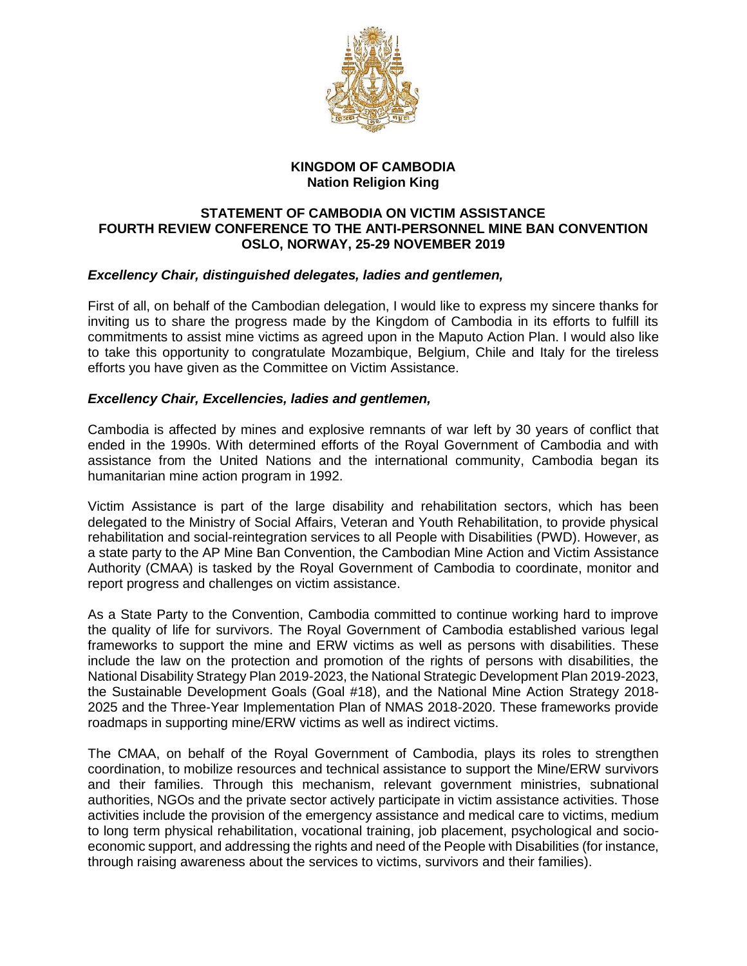

## **KINGDOM OF CAMBODIA Nation Religion King**

### **STATEMENT OF CAMBODIA ON VICTIM ASSISTANCE FOURTH REVIEW CONFERENCE TO THE ANTI-PERSONNEL MINE BAN CONVENTION OSLO, NORWAY, 25-29 NOVEMBER 2019**

# *Excellency Chair, distinguished delegates, ladies and gentlemen,*

First of all, on behalf of the Cambodian delegation, I would like to express my sincere thanks for inviting us to share the progress made by the Kingdom of Cambodia in its efforts to fulfill its commitments to assist mine victims as agreed upon in the Maputo Action Plan. I would also like to take this opportunity to congratulate Mozambique, Belgium, Chile and Italy for the tireless efforts you have given as the Committee on Victim Assistance.

## *Excellency Chair, Excellencies, ladies and gentlemen,*

Cambodia is affected by mines and explosive remnants of war left by 30 years of conflict that ended in the 1990s. With determined efforts of the Royal Government of Cambodia and with assistance from the United Nations and the international community, Cambodia began its humanitarian mine action program in 1992.

Victim Assistance is part of the large disability and rehabilitation sectors, which has been delegated to the Ministry of Social Affairs, Veteran and Youth Rehabilitation, to provide physical rehabilitation and social-reintegration services to all People with Disabilities (PWD). However, as a state party to the AP Mine Ban Convention, the Cambodian Mine Action and Victim Assistance Authority (CMAA) is tasked by the Royal Government of Cambodia to coordinate, monitor and report progress and challenges on victim assistance.

As a State Party to the Convention, Cambodia committed to continue working hard to improve the quality of life for survivors. The Royal Government of Cambodia established various legal frameworks to support the mine and ERW victims as well as persons with disabilities. These include the law on the protection and promotion of the rights of persons with disabilities, the National Disability Strategy Plan 2019-2023, the National Strategic Development Plan 2019-2023, the Sustainable Development Goals (Goal #18), and the National Mine Action Strategy 2018- 2025 and the Three-Year Implementation Plan of NMAS 2018-2020. These frameworks provide roadmaps in supporting mine/ERW victims as well as indirect victims.

The CMAA, on behalf of the Royal Government of Cambodia, plays its roles to strengthen coordination, to mobilize resources and technical assistance to support the Mine/ERW survivors and their families. Through this mechanism, relevant government ministries, subnational authorities, NGOs and the private sector actively participate in victim assistance activities. Those activities include the provision of the emergency assistance and medical care to victims, medium to long term physical rehabilitation, vocational training, job placement, psychological and socioeconomic support, and addressing the rights and need of the People with Disabilities (for instance, through raising awareness about the services to victims, survivors and their families).